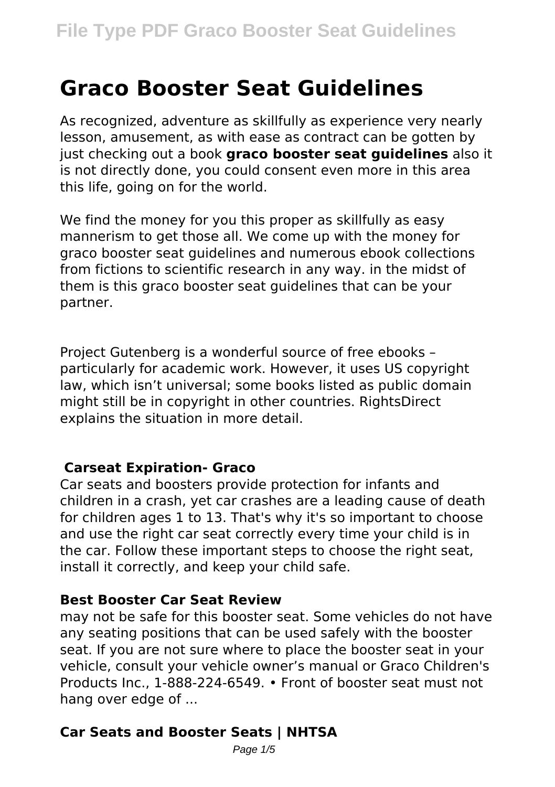# **Graco Booster Seat Guidelines**

As recognized, adventure as skillfully as experience very nearly lesson, amusement, as with ease as contract can be gotten by just checking out a book **graco booster seat guidelines** also it is not directly done, you could consent even more in this area this life, going on for the world.

We find the money for you this proper as skillfully as easy mannerism to get those all. We come up with the money for graco booster seat guidelines and numerous ebook collections from fictions to scientific research in any way. in the midst of them is this graco booster seat guidelines that can be your partner.

Project Gutenberg is a wonderful source of free ebooks – particularly for academic work. However, it uses US copyright law, which isn't universal; some books listed as public domain might still be in copyright in other countries. RightsDirect explains the situation in more detail.

## **Carseat Expiration- Graco**

Car seats and boosters provide protection for infants and children in a crash, yet car crashes are a leading cause of death for children ages 1 to 13. That's why it's so important to choose and use the right car seat correctly every time your child is in the car. Follow these important steps to choose the right seat, install it correctly, and keep your child safe.

## **Best Booster Car Seat Review**

may not be safe for this booster seat. Some vehicles do not have any seating positions that can be used safely with the booster seat. If you are not sure where to place the booster seat in your vehicle, consult your vehicle owner's manual or Graco Children's Products Inc., 1-888-224-6549. • Front of booster seat must not hang over edge of ...

# **Car Seats and Booster Seats | NHTSA**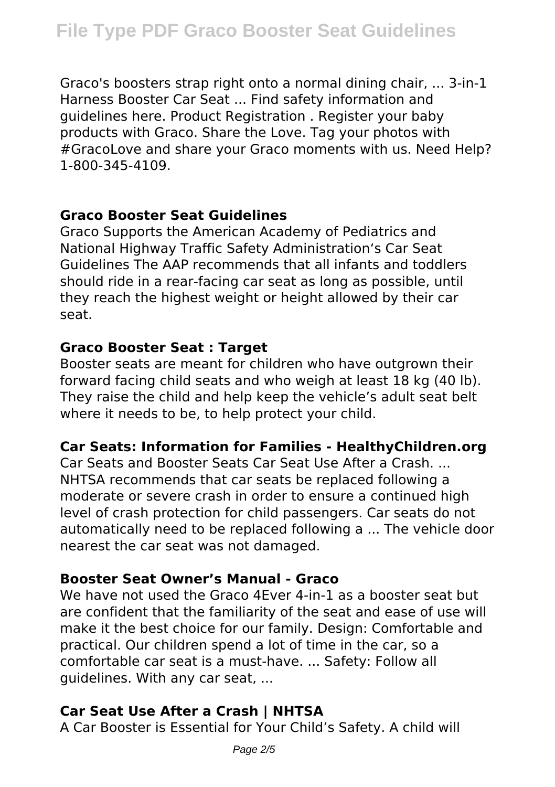Graco's boosters strap right onto a normal dining chair, ... 3-in-1 Harness Booster Car Seat ... Find safety information and guidelines here. Product Registration . Register your baby products with Graco. Share the Love. Tag your photos with #GracoLove and share your Graco moments with us. Need Help? 1-800-345-4109.

## **Graco Booster Seat Guidelines**

Graco Supports the American Academy of Pediatrics and National Highway Traffic Safety Administration's Car Seat Guidelines The AAP recommends that all infants and toddlers should ride in a rear-facing car seat as long as possible, until they reach the highest weight or height allowed by their car seat.

## **Graco Booster Seat : Target**

Booster seats are meant for children who have outgrown their forward facing child seats and who weigh at least 18 kg (40 lb). They raise the child and help keep the vehicle's adult seat belt where it needs to be, to help protect your child.

# **Car Seats: Information for Families - HealthyChildren.org**

Car Seats and Booster Seats Car Seat Use After a Crash. ... NHTSA recommends that car seats be replaced following a moderate or severe crash in order to ensure a continued high level of crash protection for child passengers. Car seats do not automatically need to be replaced following a ... The vehicle door nearest the car seat was not damaged.

# **Booster Seat Owner's Manual - Graco**

We have not used the Graco 4Ever 4-in-1 as a booster seat but are confident that the familiarity of the seat and ease of use will make it the best choice for our family. Design: Comfortable and practical. Our children spend a lot of time in the car, so a comfortable car seat is a must-have. ... Safety: Follow all guidelines. With any car seat, ...

# **Car Seat Use After a Crash | NHTSA**

A Car Booster is Essential for Your Child's Safety. A child will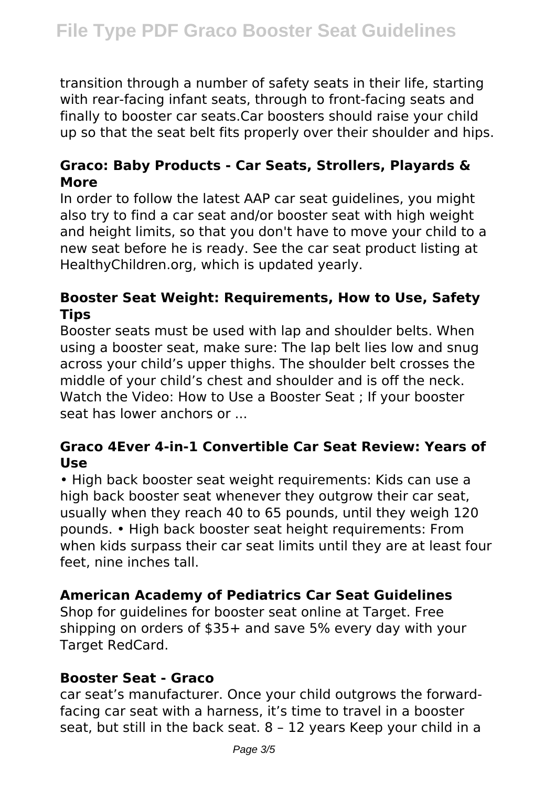transition through a number of safety seats in their life, starting with rear-facing infant seats, through to front-facing seats and finally to booster car seats.Car boosters should raise your child up so that the seat belt fits properly over their shoulder and hips.

# **Graco: Baby Products - Car Seats, Strollers, Playards & More**

In order to follow the latest AAP car seat guidelines, you might also try to find a car seat and/or booster seat with high weight and height limits, so that you don't have to move your child to a new seat before he is ready. See the car seat product listing at HealthyChildren.org, which is updated yearly.

# **Booster Seat Weight: Requirements, How to Use, Safety Tips**

Booster seats must be used with lap and shoulder belts. When using a booster seat, make sure: The lap belt lies low and snug across your child's upper thighs. The shoulder belt crosses the middle of your child's chest and shoulder and is off the neck. Watch the Video: How to Use a Booster Seat ; If your booster seat has lower anchors or ...

## **Graco 4Ever 4-in-1 Convertible Car Seat Review: Years of Use**

• High back booster seat weight requirements: Kids can use a high back booster seat whenever they outgrow their car seat, usually when they reach 40 to 65 pounds, until they weigh 120 pounds. • High back booster seat height requirements: From when kids surpass their car seat limits until they are at least four feet, nine inches tall.

# **American Academy of Pediatrics Car Seat Guidelines**

Shop for guidelines for booster seat online at Target. Free shipping on orders of \$35+ and save 5% every day with your Target RedCard.

## **Booster Seat - Graco**

car seat's manufacturer. Once your child outgrows the forwardfacing car seat with a harness, it's time to travel in a booster seat, but still in the back seat. 8 – 12 years Keep your child in a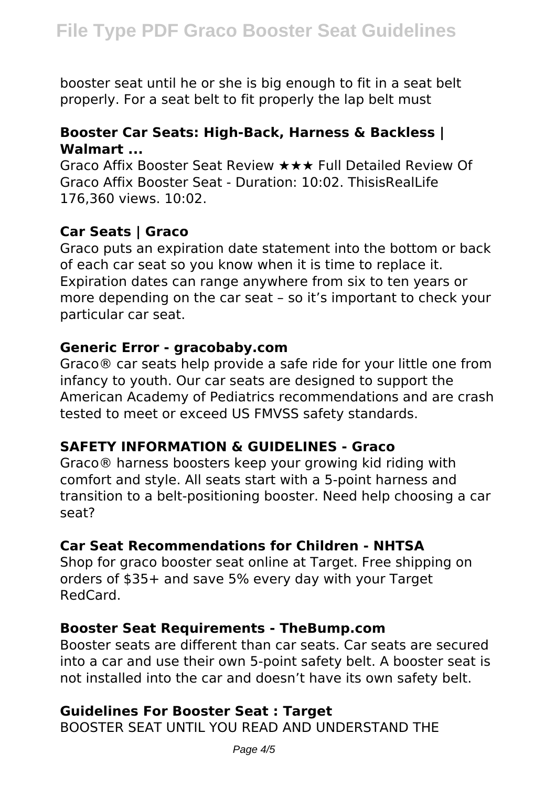booster seat until he or she is big enough to fit in a seat belt properly. For a seat belt to fit properly the lap belt must

## **Booster Car Seats: High-Back, Harness & Backless | Walmart ...**

Graco Affix Booster Seat Review ★★★ Full Detailed Review Of Graco Affix Booster Seat - Duration: 10:02. ThisisRealLife 176,360 views. 10:02.

## **Car Seats | Graco**

Graco puts an expiration date statement into the bottom or back of each car seat so you know when it is time to replace it. Expiration dates can range anywhere from six to ten years or more depending on the car seat – so it's important to check your particular car seat.

## **Generic Error - gracobaby.com**

Graco® car seats help provide a safe ride for your little one from infancy to youth. Our car seats are designed to support the American Academy of Pediatrics recommendations and are crash tested to meet or exceed US FMVSS safety standards.

## **SAFETY INFORMATION & GUIDELINES - Graco**

Graco® harness boosters keep your growing kid riding with comfort and style. All seats start with a 5-point harness and transition to a belt-positioning booster. Need help choosing a car seat?

# **Car Seat Recommendations for Children - NHTSA**

Shop for graco booster seat online at Target. Free shipping on orders of \$35+ and save 5% every day with your Target RedCard.

#### **Booster Seat Requirements - TheBump.com**

Booster seats are different than car seats. Car seats are secured into a car and use their own 5-point safety belt. A booster seat is not installed into the car and doesn't have its own safety belt.

## **Guidelines For Booster Seat : Target**

BOOSTER SEAT UNTIL YOU READ AND UNDERSTAND THE